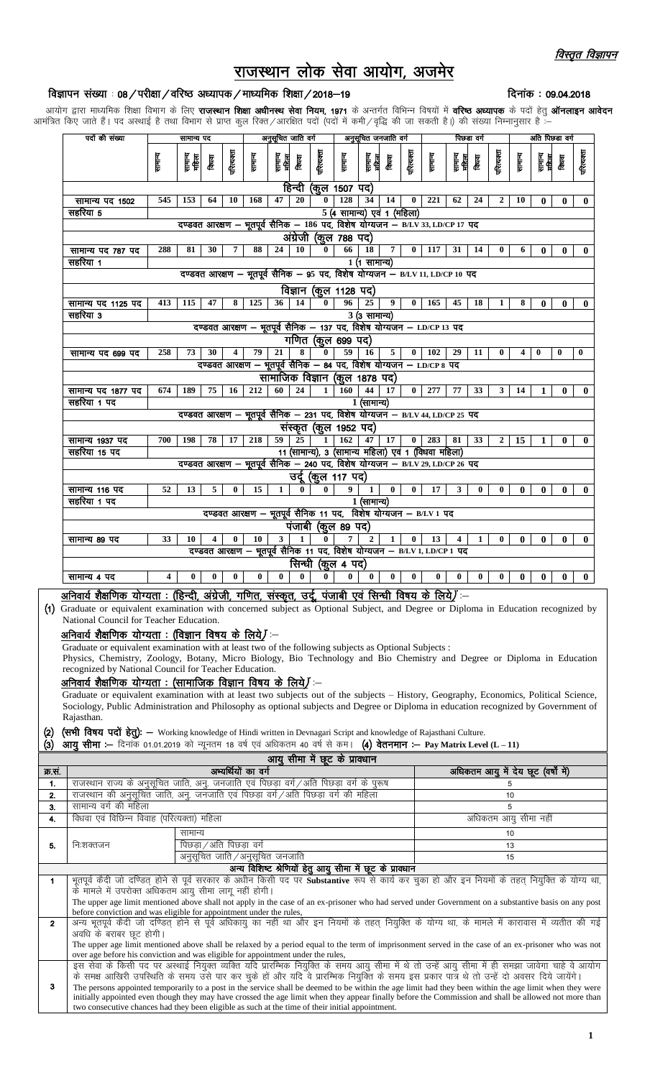दिनांक: 09.04.2018

# राजस्थान लोक सेवा आयोग, अज

## विज्ञापन संख्या : 08 / परीक्षा / वरिष्ठ अध्यापक / माध्यमिक शिक्षा / 2018-19

आयोग द्वारा माध्यमिक शिक्षा विभाग के लिए **राजस्थान शिक्षा अधीनस्थ सेवा नियम, 1971** के अन्तर्गत विभिन्न विषयों में **वरिष्ठ अध्यापक** के पदों हेतु **ऑनलाइन आवेदन** आमंत्रित किए जाते हैं। पद अस्थाई है तथा विभाग से प्राप्त कुल रिक्त/आरक्षित पदों (पदों में कमी/वृद्धि की जा सकती है।) की संख्या निम्नानुसार हैं :-

| पदों की संख्या                                                                                | सामान्य पद                                                                     |                                                                               |          | अनुसूचित जाति वर्ग |                                                                              |                 | अनुसूचित जनजाति वर्ग |              |                               | पिछडा वर्ग       |                |              |                                                     | अति पिछडा वर्ग   |              |                  |          |                 |              |              |
|-----------------------------------------------------------------------------------------------|--------------------------------------------------------------------------------|-------------------------------------------------------------------------------|----------|--------------------|------------------------------------------------------------------------------|-----------------|----------------------|--------------|-------------------------------|------------------|----------------|--------------|-----------------------------------------------------|------------------|--------------|------------------|----------|-----------------|--------------|--------------|
|                                                                                               | सामान्य                                                                        | सामान्य<br>महिला                                                              | विषय     | गरित्यक्ता         | सामान्य                                                                      | सामन्य<br>महिला | विषय                 | परित्यक्ता   | सामान्य                       | सामान्य<br>महिला | विषय           | परित्यक्ता   | सामान्य                                             | सामान्य<br>महिला | विषय         | परित्यक्ता       | सामान्य  | सामन्य<br>महिला | किया         | परित्यक्ता   |
|                                                                                               |                                                                                |                                                                               |          |                    |                                                                              |                 |                      |              | हिन्दी (कुल 1507 पद)          |                  |                |              |                                                     |                  |              |                  |          |                 |              |              |
| सामान्य पद 1502                                                                               | 545                                                                            | 153                                                                           | 64       | 10                 | 168                                                                          | 47              | 20                   | $\mathbf{0}$ | 128                           | 34               | 14             | $\bf{0}$     | 221                                                 | 62               | 24           | $\boldsymbol{2}$ | 10       | $\bf{0}$        | $\bf{0}$     | $\bf{0}$     |
| सहरिया 5                                                                                      | 5 (4 सामान्य) एवं 1 (महिला)                                                    |                                                                               |          |                    |                                                                              |                 |                      |              |                               |                  |                |              |                                                     |                  |              |                  |          |                 |              |              |
|                                                                                               | दण्डवत आरक्षण – भूतपूर्व सैनिक – 186 पद, विशेष योग्यजन – B/LV 33, LD/CP 17 पद  |                                                                               |          |                    |                                                                              |                 |                      |              |                               |                  |                |              |                                                     |                  |              |                  |          |                 |              |              |
|                                                                                               |                                                                                |                                                                               |          |                    |                                                                              |                 |                      |              | अंग्रेजी (कुल 788 पद)         |                  |                |              |                                                     |                  |              |                  |          |                 |              |              |
| सामान्य पद 787 पद                                                                             | 288                                                                            | 81                                                                            | 30       | 7                  | 88                                                                           | 24              | 10                   | 0            | 66                            | 18               | $\overline{7}$ | $\bf{0}$     | 117                                                 | 31               | 14           | $\bf{0}$         | 6        | $\bf{0}$        | $\bf{0}$     | $\mathbf{0}$ |
| सहरिया 1                                                                                      |                                                                                |                                                                               |          |                    |                                                                              |                 |                      |              |                               | 1 (1 सामान्य)    |                |              |                                                     |                  |              |                  |          |                 |              |              |
|                                                                                               |                                                                                |                                                                               |          |                    | दण्डवत आरक्षण – भूतपूर्व सैनिक – 95 पद, विशेष योग्यजन – B/LV 11, LD/CP 10 पद |                 |                      |              |                               |                  |                |              |                                                     |                  |              |                  |          |                 |              |              |
|                                                                                               |                                                                                |                                                                               |          |                    |                                                                              |                 |                      |              | विज्ञान (कुल 1128 पद)         |                  |                |              |                                                     |                  |              |                  |          |                 |              |              |
| सामान्य पद 1125 पद                                                                            | 413                                                                            | 115                                                                           | 47       | 8                  | 125                                                                          | 36              | 14                   | $\bf{0}$     | 96                            | 25               | 9              | $\mathbf{0}$ | 165                                                 | 45               | 18           | 1                | 8        | 0               | $\bf{0}$     | $\bf{0}$     |
| सहरिया 3                                                                                      |                                                                                |                                                                               |          |                    |                                                                              |                 |                      |              |                               | 3 (3 सामान्य)    |                |              |                                                     |                  |              |                  |          |                 |              |              |
|                                                                                               |                                                                                |                                                                               |          |                    | दण्डवत आरक्षण – भूतपूर्व सैनिक – 137 पद, विशेष योग्यजन – LD/CP 13 पद         |                 |                      |              |                               |                  |                |              |                                                     |                  |              |                  |          |                 |              |              |
|                                                                                               |                                                                                |                                                                               |          |                    |                                                                              |                 |                      |              | गणित (कूल 699 पद)             |                  |                |              |                                                     |                  |              |                  |          |                 |              |              |
| सामान्य पद 699 पद                                                                             | 258                                                                            | 73                                                                            | 30       | 4                  | 79                                                                           | 21              | 8                    | $\bf{0}$     | 59                            | <b>16</b>        | 5              | $\mathbf{0}$ | 102                                                 | 29               | 11           | $\bf{0}$         | 4        | $\bf{0}$        | $\mathbf{0}$ | $\bf{0}$     |
|                                                                                               |                                                                                |                                                                               |          |                    | दण्डवत आरक्षण – भूतपूर्व सैनिक – 84 पद, विशेष योग्यजन – LD/CP 8 पद           |                 |                      |              |                               |                  |                |              |                                                     |                  |              |                  |          |                 |              |              |
|                                                                                               |                                                                                |                                                                               |          |                    |                                                                              |                 |                      |              | सामाजिक विज्ञान (कूल 1878 पद) |                  |                |              |                                                     |                  |              |                  |          |                 |              |              |
| सामान्य पद 1877 पद                                                                            | 674                                                                            | 189                                                                           | 75       | 16                 | 212                                                                          | 60              | 24                   | 1            | 160                           | 44               | 17             | $\bf{0}$     | 277                                                 | 77               | 33           | 3                | 14       | $\mathbf{1}$    | $\mathbf{0}$ | $\bf{0}$     |
| सहरिया 1 पद                                                                                   |                                                                                |                                                                               |          |                    |                                                                              |                 |                      |              |                               | 1 (सामान्य)      |                |              |                                                     |                  |              |                  |          |                 |              |              |
|                                                                                               | दण्डवत आरक्षण – भूतपूर्व सैनिक – 231 पद, विशेष योग्यजन – B/LV 44, LD/CP 25 पद  |                                                                               |          |                    |                                                                              |                 |                      |              |                               |                  |                |              |                                                     |                  |              |                  |          |                 |              |              |
| संस्कृत (कूल 1952 पद)                                                                         |                                                                                |                                                                               |          |                    |                                                                              |                 |                      |              |                               |                  |                |              |                                                     |                  |              |                  |          |                 |              |              |
| सामान्य 1937 पद                                                                               | 700                                                                            | 198                                                                           | 78       | 17                 | 218                                                                          | 59              | 25                   | $\mathbf{1}$ | 162                           | 47               | 17             | 0            | 283                                                 | 81               | 33           | $\mathbf{2}$     | 15       | $\mathbf{1}$    | $\bf{0}$     | $\mathbf{0}$ |
| सहरिया 15 पद                                                                                  |                                                                                | दण्डवत आरक्षण – भूतपूर्व सैनिक – 240 पद, विशेष योग्यजन – B/LV 29, LD/CP 26 पद |          |                    |                                                                              |                 |                      |              |                               |                  |                |              | 11 (सामान्य), 3 (सामान्य महिला) एवं 1 (विधवा महिला) |                  |              |                  |          |                 |              |              |
|                                                                                               |                                                                                |                                                                               |          |                    |                                                                              |                 |                      |              | उदू (कुल 117 पद)              |                  |                |              |                                                     |                  |              |                  |          |                 |              |              |
| सामान्य 116 पद                                                                                | 52                                                                             | 13                                                                            | 5        | $\bf{0}$           | 15                                                                           | $\mathbf{1}$    | $\bf{0}$             | $\mathbf{0}$ | 9                             | $\mathbf{1}$     | $\bf{0}$       | $\bf{0}$     | 17                                                  | $\mathbf{3}$     | $\bf{0}$     | $\bf{0}$         | $\bf{0}$ | $\bf{0}$        | $\bf{0}$     | $\bf{0}$     |
| सहरिया 1 पद                                                                                   |                                                                                |                                                                               |          |                    |                                                                              |                 |                      |              |                               |                  |                |              |                                                     |                  |              |                  |          |                 |              |              |
|                                                                                               | 1 (सामान्य)<br>दण्डवत आरक्षण – भूतपूर्व सैनिक 11 पद, विशेष योग्यजन – B/LV 1 पद |                                                                               |          |                    |                                                                              |                 |                      |              |                               |                  |                |              |                                                     |                  |              |                  |          |                 |              |              |
|                                                                                               |                                                                                |                                                                               |          |                    |                                                                              |                 |                      |              | पंजाबी (कुल 89 पद)            |                  |                |              |                                                     |                  |              |                  |          |                 |              |              |
| सामान्य 89 पद                                                                                 | 33                                                                             | 10                                                                            | 4        | $\mathbf{0}$       | 10                                                                           | 3               | 1                    |              | $\overline{7}$                | $\overline{2}$   | $\mathbf{1}$   | $\bf{0}$     | 13                                                  | 4                | $\mathbf{1}$ | $\mathbf{0}$     | $\bf{0}$ | $\bf{0}$        | $\bf{0}$     | $\mathbf{0}$ |
|                                                                                               |                                                                                |                                                                               |          |                    |                                                                              |                 |                      |              |                               |                  |                |              |                                                     |                  |              |                  |          |                 |              |              |
| दण्डवत आरक्षण – भूतपूर्व सैनिक 11 पद, विशेष योग्यजन – B/LV 1, LD/CP 1 पद<br>सिन्धी (कुल 4 पद) |                                                                                |                                                                               |          |                    |                                                                              |                 |                      |              |                               |                  |                |              |                                                     |                  |              |                  |          |                 |              |              |
| सामान्य ४ पद                                                                                  | $\overline{\mathbf{4}}$                                                        | $\bf{0}$                                                                      | $\bf{0}$ | $\bf{0}$           | $\bf{0}$                                                                     | $\mathbf{0}$    | $\bf{0}$             | $\bf{0}$     | $\bf{0}$                      | $\bf{0}$         | $\bf{0}$       | $\bf{0}$     | $\bf{0}$                                            | $\bf{0}$         | 0            | 0                | $\bf{0}$ | $\bf{0}$        | $\bf{0}$     | $\mathbf{0}$ |

#### <u>अनिवार्य शैक्षणिक योग्यता : (हिन्दी, अंग्रेजी, गणित, संस्कृत, उर्दू, पंजाबी एवं सिन्धी विषय के लिये)</u> —

(1) Graduate or equivalent examination with concerned subject as Optional Subject, and Degree or Diploma in Education recognized by National Council for Teacher Education.

### अनिवार्य शैक्षणिक योग्यता : (विज्ञान विषय के लिये) -

Graduate or equivalent examination with at least two of the following subjects as Optional Subjects :

Physics, Chemistry, Zoology, Botany, Micro Biology, Bio Technology and Bio Chemistry and Degree or Diploma in Education recognized by National Council for Teacher Education.

### अनिवार्य शैक्षणिक योग्यता : (सामाजिक विज्ञान विषय के लिये) :-

Graduate or equivalent examination with at least two subjects out of the subjects - History, Geography, Economics, Political Science, Sociology, Public Administration and Philosophy as optional subjects and Degree or Diploma in education recognized by Government of Rajasthan.

## (सभी विषय पदों हेतु): - Working knowledge of Hindi written in Devnagari Script and knowledge of Rajasthani Culture.

आयु सीमा :- दिनांक 01.01.2019 को न्यूनतम 18 वर्ष एवं अधिकतम 40 वर्ष से कम। (4) वेतनमान :- Pay Matrix Level (L-11)  $\left( 3\right)$ 

| आयु सामा म छूट क प्रावधान |                                                                                                                                                         |                                                                                                                                                       |                                     |  |  |  |  |  |
|---------------------------|---------------------------------------------------------------------------------------------------------------------------------------------------------|-------------------------------------------------------------------------------------------------------------------------------------------------------|-------------------------------------|--|--|--|--|--|
| क्र.सं.                   |                                                                                                                                                         | अभ्यर्थियों का वर्ग                                                                                                                                   | अधिकतम आयु में देय छूट (वर्षों में) |  |  |  |  |  |
| 1.                        |                                                                                                                                                         | राजस्थान राज्य के अनुसूचित जाति, अनु. जनजाति एवं पिछड़ा वर्ग/अति पिछड़ा वर्ग के पुरूष                                                                 | 5                                   |  |  |  |  |  |
| 2.                        |                                                                                                                                                         | राजस्थान की अनुसूचित जाति, अनु. जनजाति एवं पिछड़ा वर्ग/अति पिछड़ा वर्ग की महिला                                                                       | 10                                  |  |  |  |  |  |
| 3.                        | सामान्य वर्ग की महिला                                                                                                                                   |                                                                                                                                                       | 5                                   |  |  |  |  |  |
| 4.                        | विधवा एवं विछिन्न विवाह (परित्यक्ता) महिला                                                                                                              |                                                                                                                                                       | अधिकतम आयु सीमा नहीं                |  |  |  |  |  |
|                           |                                                                                                                                                         | सामान्य                                                                                                                                               | 10                                  |  |  |  |  |  |
| 5.                        | निःशक्तजन                                                                                                                                               | पिछड़ा ⁄ अति पिछड़ा वर्ग                                                                                                                              | 13                                  |  |  |  |  |  |
|                           |                                                                                                                                                         | अनुसूचित जाति / अनुसूचित जनजाति                                                                                                                       | 15                                  |  |  |  |  |  |
|                           | अन्य विशिष्ट श्रेणियों हेतु आयु सीमा में छूट के प्रावधान                                                                                                |                                                                                                                                                       |                                     |  |  |  |  |  |
| $\mathbf 1$               | भूतपूर्व कैदी जो दण्डित होने से पूर्व सरकार के अधीन किसी पद पर Substantive रूप से कार्य कर चुका हो और इन नियमों के तहत नियुक्ति के योग्य था,            |                                                                                                                                                       |                                     |  |  |  |  |  |
|                           | के मामले में उपरोक्त अधिकतम आयु सीमा लागू नहीं होगी।                                                                                                    |                                                                                                                                                       |                                     |  |  |  |  |  |
|                           | The upper age limit mentioned above shall not apply in the case of an ex-prisoner who had served under Government on a substantive basis on any post    |                                                                                                                                                       |                                     |  |  |  |  |  |
|                           | before conviction and was eligible for appointment under the rules,                                                                                     |                                                                                                                                                       |                                     |  |  |  |  |  |
| $\overline{2}$            |                                                                                                                                                         |                                                                                                                                                       |                                     |  |  |  |  |  |
|                           | अवधि के बराबर छूट होगी।                                                                                                                                 |                                                                                                                                                       |                                     |  |  |  |  |  |
|                           | The upper age limit mentioned above shall be relaxed by a period equal to the term of imprisonment served in the case of an ex-prisoner who was not     |                                                                                                                                                       |                                     |  |  |  |  |  |
|                           |                                                                                                                                                         | over age before his conviction and was eligible for appointment under the rules,                                                                      |                                     |  |  |  |  |  |
|                           |                                                                                                                                                         | इस सेवा के किसी पद पर अस्थाई नियुक्त व्यक्ति यदि प्रारम्भिक नियुक्ति के समय आयु सीमा में थे तो उन्हें आयु सीमा में ही समझा जावेगा चाहे वे आयोग        |                                     |  |  |  |  |  |
|                           |                                                                                                                                                         | के समक्ष आखिरी उपस्थिति के समय उसे पार कर चुके हों और यदि वे प्रारम्भिक नियुक्ति के समय इस प्रकार पात्र थे तो उन्हें दो अवसर दिये जायेंगे।            |                                     |  |  |  |  |  |
| 3                         | The persons appointed temporarily to a post in the service shall be deemed to be within the age limit had they been within the age limit when they were |                                                                                                                                                       |                                     |  |  |  |  |  |
|                           |                                                                                                                                                         | initially appointed even though they may have crossed the age limit when they appear finally before the Commission and shall be allowed not more than |                                     |  |  |  |  |  |
|                           |                                                                                                                                                         | two consecutive chances had they been eligible as such at the time of their initial appointment.                                                      |                                     |  |  |  |  |  |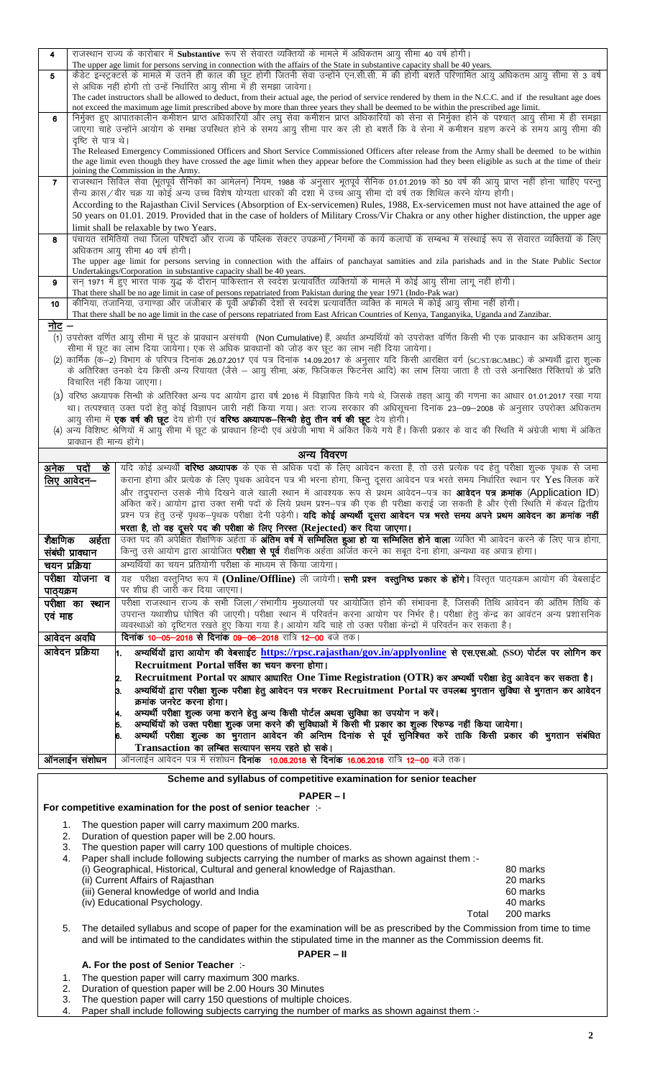| 4         |                          | राजस्थान राज्य के कारोबार में Substantive रूप से सेवारत व्यक्तियों के मामले में अधिकतम आयु सीमा 40 वर्ष होगी।                                                                                                                                                                                         |                      |
|-----------|--------------------------|-------------------------------------------------------------------------------------------------------------------------------------------------------------------------------------------------------------------------------------------------------------------------------------------------------|----------------------|
| 5         |                          | The upper age limit for persons serving in connection with the affairs of the State in substantive capacity shall be 40 years.<br>कैडेट इन्स्ट्रक्टर्स के मामले में उतने ही काल की छूट होगी जितनी सेवा उन्होंने एन.सी.सी. में की होगी बशर्ते परिणामित आयु अधिकतम आयु सीमा से 3 वर्ष                   |                      |
|           |                          | से अधिक नहीं होगी तो उन्हें निर्धारित आयू सीमा में ही समझा जावेगा।                                                                                                                                                                                                                                    |                      |
|           |                          | The cadet instructors shall be allowed to deduct, from their actual age, the period of service rendered by them in the N.C.C. and if the resultant age does<br>not exceed the maximum age limit prescribed above by more than three years they shall be deemed to be within the prescribed age limit. |                      |
| 6         |                          | निर्मुक्त हुए आपातकालीन कमीशन प्राप्त अधिकारियों और लघु सेवा कमीशन प्राप्त अधिकारियों को सेना से निर्मुक्त होने के पश्चात् आयु सीमा में ही समझा                                                                                                                                                       |                      |
|           | दृष्टि से पात्र थे।      | जाएगा चाहे उन्होंने आयोग के समक्ष उपस्थित होने के समय आयु सीमा पार कर ली हो बशर्ते कि वे सेना में कमीशन ग्रहण करने के समय आयु सीमा की                                                                                                                                                                 |                      |
|           |                          | The Released Emergency Commissioned Officers and Short Service Commissioned Officers after release from the Army shall be deemed to be within                                                                                                                                                         |                      |
|           |                          | the age limit even though they have crossed the age limit when they appear before the Commission had they been eligible as such at the time of their                                                                                                                                                  |                      |
| 7         |                          | joining the Commission in the Army.<br>राजस्थान सिविल सेवा (भूतपूर्व सैनिकों का आमेलन) नियम, 1988 के अनुसार भूतपूर्व सैनिक 01.01.2019 को 50 वर्ष की आयु प्राप्त नहीं होना चाहिए परन्तु                                                                                                                |                      |
|           |                          | सैन्य क्रास/वीर चक्र या कोई अन्य उच्च विशेष योग्यता धारकों की दशा में उच्च आयु सीमा दो वर्ष तक शिथिल करने योग्य होगी।                                                                                                                                                                                 |                      |
|           |                          | According to the Rajasthan Civil Services (Absorption of Ex-servicemen) Rules, 1988, Ex-servicemen must not have attained the age of<br>50 years on 01.01. 2019. Provided that in the case of holders of Military Cross/Vir Chakra or any other higher distinction, the upper age                     |                      |
|           |                          | limit shall be relaxable by two Years.                                                                                                                                                                                                                                                                |                      |
| 8         |                          | पंचायत समितियों तथा जिला परिषदों और राज्य के पब्लिक सेक्टर उपक्रमों /निगमों के कार्य कलापों के सम्बन्ध में संस्थाई रूप से सेवारत व्यक्तियों के लिए                                                                                                                                                    |                      |
|           |                          | अधिकतम आयु सीमा 40 वर्ष होगी।<br>The upper age limit for persons serving in connection with the affairs of panchayat samities and zila parishads and in the State Public Sector                                                                                                                       |                      |
|           |                          | Undertakings/Corporation in substantive capacity shall be 40 years.                                                                                                                                                                                                                                   |                      |
| 9         |                          | सन् 1971 में हुए भारत पाक युद्ध के दौरान पाकिस्तान से स्वदेश प्रत्यावर्तित व्यक्तियों के मामले में कोई आयु सीमा लागू नहीं होगी।                                                                                                                                                                       |                      |
| 10        |                          | That there shall be no age limit in case of persons repatriated from Pakistan during the year 1971 (Indo-Pak war)<br>कीनिया, तंजानिया, उगाण्डा और जंजीबार के पूर्वी अफीकी देशों से स्वदेश प्रत्यावर्तित व्यक्ति के मामले में कोई आयु सीमा नहीं होगी।                                                  |                      |
|           |                          | That there shall be no age limit in the case of persons repatriated from East African Countries of Kenya, Tanganyika, Uganda and Zanzibar.                                                                                                                                                            |                      |
| नोट –     |                          | (1) उपरोक्त वर्णित आयु सीमा में छूट के प्रावधान असंचयी (Non Cumulative) हैं, अर्थात अभ्यर्थियों को उपरोक्त वर्णित किसी भी एक प्रावधान का अधिकतम आयु                                                                                                                                                   |                      |
|           |                          | सीमा में छूट का लाभ दिया जायेगा। एक से अधिक प्रावधानों को जोड़ कर छूट का लाभ नहीं दिया जायेगा।                                                                                                                                                                                                        |                      |
|           |                          | (2) कार्मिक (क–2) विभाग के परिपत्र दिनांक 26.07.2017 एवं पत्र दिनांक 14.09.2017 के अनुसार यदि किसी आरक्षित वर्ग (SC/ST/BC/MBC) के अभ्यर्थी द्वारा शुल्क                                                                                                                                               |                      |
|           | विचारित नहीं किया जाएगा। | के अतिरिक्त उनको देय किसी अन्य रियायत (जैसे – आयु सीमा, अंक, फिजिकल फिटनेस आदि) का लाभ लिया जाता है तो उसे अनारिक्षत रिक्तियों के प्रति                                                                                                                                                               |                      |
|           |                          | वरिष्ठ अध्यापक सिन्धी के अतिरिक्त अन्य पद आयोग द्वारा वर्ष 2016 में विज्ञापित किये गये थे, जिसके तहत् आयु की गणना का आधार 01.01.2017 रखा गया                                                                                                                                                          |                      |
|           |                          | था। तत्पश्चात् उक्त पदों हेतु कोई विज्ञापन जारी नहीं किया गया। अतः राज्य सरकार की अधिसूचना दिनांक 23–09–2008 के अनुसार उपरोक्त अधिकतम                                                                                                                                                                 |                      |
|           |                          | आयु सीमा में एक वर्ष की छूट देय होगी एवं वरिष्ठ अध्यापक–सिन्धी हेतु तीन वर्ष की छूट देय होगी।<br>(4) अन्य विशिष्ट श्रेणियों में आयु सीमा में छूट के प्रावधान हिन्दी एवं अंग्रेजी माषा में अंकित किये गये हैं। किसी प्रकार के वाद की स्थिति में अंग्रेजी भाषा में अंकित                                |                      |
|           | प्रावधान ही मान्य होंगे। |                                                                                                                                                                                                                                                                                                       |                      |
|           |                          | अन्य विवरण                                                                                                                                                                                                                                                                                            |                      |
|           | अनेक पदों के             | यदि कोई अभ्यर्थी <b>वरिष्ठ अध्यापक</b> के एक से अधिक पदों के लिए आवेदन करता है, तो उसे प्रत्येक पद हेतु परीक्षा शुल्क पृथक से जमा                                                                                                                                                                     |                      |
|           | लिए आवेदन–               | कराना होगा और प्रत्येक के लिए पृथक आवेदन पत्र भी भरना होगा, किन्तु दूसरा आवेदन पत्र भरते समय निर्धारित स्थान पर Yes क्लिक करें<br>और तद्परान्त उसके नीचे दिखने वाले खाली स्थान में आवश्यक रूप से प्रथम आवेदन–पत्र का <b>आवेदन पत्र क्रमांक (Application ID</b> )                                      |                      |
|           |                          | अंकित करें। आयोग द्वारा उक्त सभी पदों के लिये प्रथम प्रश्न—पत्र की एक ही परीक्षा कराई जा सकती है और ऐसी स्थिति में केवल द्वितीय                                                                                                                                                                       |                      |
|           |                          | प्रश्न पत्र हेतु उन्हें पृथक–पृथक परीक्षा देनी पड़ेगी। <b>यदि कोई अभ्यर्थी दूसरा आवेदन पत्र भरते समय अपने प्रथम आवेदन का क्रमांक नहीं</b>                                                                                                                                                             |                      |
|           |                          | भरता है, तो वह दूसरे पद की परीक्षा के लिए निरस्त (Rejected) कर दिया जाएगा।<br>उक्त पद की अपेक्षित शैक्षणिक अर्हता के <b>अंतिम वर्ष में सम्मिलित हुआ हो या सम्मिलित होने वाला</b> व्यक्ति भी आवेदन करने के लिए पात्र होगा,                                                                             |                      |
| शैक्षणिक  | अहेता<br>संबंधी प्रावधान | किन्तु उसे आयोग द्वारा आयोजित <b>परीक्षा से पूर्व</b> शैक्षणिक अर्हता अर्जित करने का सबूत देना होगा, अन्यथा वह अपात्र होगा।                                                                                                                                                                           |                      |
|           | चयन प्रक्रिया            | अभ्यर्थियों का चयन प्रतियोगी परीक्षा के माध्यम से किया जायेगा।                                                                                                                                                                                                                                        |                      |
|           | परीक्षा योजना व          | यह परीक्षा वस्तुनिष्ठ रूप में (Online/Offline) ली जायेगी। सभी प्रश्न वस्तुनिष्ठ प्रकार के होंगे। विस्तृत पाठ्यक्रम आयोग की वेबसाईट                                                                                                                                                                    |                      |
| पाठ्यक्रम |                          | पर शीघ्र ही जारी कर दिया जाएगा।                                                                                                                                                                                                                                                                       |                      |
| एवं माह   | परीक्षा का स्थान         | परीक्षा राजस्थान राज्य के सभी जिला/संभागीय मुख्यालयों पर आयोजित होने की संभावना है, जिसकी तिथि आवेदन की अंतिम तिथि के<br>उपरान्त यथाशीघ्र घोषित की जाएगी। परीक्षा स्थान में परिवर्तन करना आयोग पर निर्भर है। परीक्षा हेतु केन्द्र का आवंटन अन्य प्रशासनिक                                             |                      |
|           |                          | व्यवस्थाओं को दृष्टिगत रखते हुए किया गया है। आयोग यदि चाहे तो उक्त परीक्षा केन्द्रों में परिवर्तन कर सकता है।                                                                                                                                                                                         |                      |
|           | आवेदन अवधि               | <b>दिनांक 10–05–2018 से दिनांक 09–06–2018</b> रात्रि 12–00 बजे तक।                                                                                                                                                                                                                                    |                      |
|           | आवेदन प्रक्रिया          | अभ्यर्थियों द्वारा आयोग की वेबसाईट https://rpsc.rajasthan/gov.in/applyonline से एस.एस.ओ. (SSO) पोर्टल पर लोगिन कर<br>h.<br>Recruitment Portal सर्विस का चयन करना होगा।                                                                                                                                |                      |
|           |                          | Recruitment Portal पर आधार आधारित One Time Registration (OTR) कर अभ्यर्थी परीक्षा हेतु आवेदन कर सकता है।<br>2.                                                                                                                                                                                        |                      |
|           |                          | अभ्यर्थियों द्वारा परीक्षा शुल्क परीक्षा हेतु आवेदन पत्र भरकर Recruitment Portal पर उपलब्ध भुगतान सुविधा से भुगतान कर आवेदन<br>3.                                                                                                                                                                     |                      |
|           |                          | क्रमांक जनरेट करना होगा।                                                                                                                                                                                                                                                                              |                      |
|           |                          | अभ्यर्थी परीक्षा शुल्क जमा कराने हेतु अन्य किसी पोर्टल अथवा सुविधा का उपयोग न करें।<br>4.<br>अभ्यर्थियों को उक्त परीक्षा शुल्क जमा करने की सुविधाओं में किसी भी प्रकार का शुल्क रिफण्ड नहीं किया जायेगा।<br>5.                                                                                        |                      |
|           |                          | अभ्यर्थी परीक्षा शुल्क का भुगतान आवेदन की अन्तिम दिनांक से पूर्व सुनिश्चित करें ताकि किसी प्रकार की भुगतान संबंधित                                                                                                                                                                                    |                      |
|           |                          | Transaction का लम्बित सत्यापन समय रहते हो सके।                                                                                                                                                                                                                                                        |                      |
|           | ऑनलाईन संशोधन            | ऑनलाईन आवेदन पत्र में संशोधन <b>दिनांक 10.06.2018 से दिनांक 16.06.2018</b> रात्रि <b>12–00</b> बजे तक।                                                                                                                                                                                                |                      |
|           |                          | Scheme and syllabus of competitive examination for senior teacher                                                                                                                                                                                                                                     |                      |
|           |                          | <b>PAPER-I</b>                                                                                                                                                                                                                                                                                        |                      |
|           |                          | For competitive examination for the post of senior teacher :-                                                                                                                                                                                                                                         |                      |
| 1.        | 2.                       | The question paper will carry maximum 200 marks.<br>Duration of question paper will be 2.00 hours.                                                                                                                                                                                                    |                      |
| 3.        |                          | The question paper will carry 100 questions of multiple choices.                                                                                                                                                                                                                                      |                      |
| 4.        |                          | Paper shall include following subjects carrying the number of marks as shown against them :-                                                                                                                                                                                                          |                      |
|           |                          | (i) Geographical, Historical, Cultural and general knowledge of Rajasthan.<br>(ii) Current Affairs of Rajasthan                                                                                                                                                                                       | 80 marks<br>20 marks |
|           |                          | (iii) General knowledge of world and India                                                                                                                                                                                                                                                            | 60 marks             |
|           |                          | (iv) Educational Psychology.                                                                                                                                                                                                                                                                          | 40 marks             |
| 5.        |                          | Total                                                                                                                                                                                                                                                                                                 | 200 marks            |
|           |                          | The detailed syllabus and scope of paper for the examination will be as prescribed by the Commission from time to time<br>and will be intimated to the candidates within the stipulated time in the manner as the Commission deems fit.                                                               |                      |
|           |                          | <b>PAPER-II</b>                                                                                                                                                                                                                                                                                       |                      |
|           |                          | A. For the post of Senior Teacher :-                                                                                                                                                                                                                                                                  |                      |
|           |                          | The question paper will carry maximum 300 marks.                                                                                                                                                                                                                                                      |                      |

| . . | The question paper will carry maximum 500 marks.         |
|-----|----------------------------------------------------------|
| າ   | Duration of question paper will be 2.00 Hours 30 Minutes |

Duration of question paper will be 2.00 Hours 30 Minutes<br>The question paper will carry 150 questions of multiple choices.<br>Paper shall include following subjects carrying the number of marks as shown against them :- $\frac{2}{3}$ .<br>4.